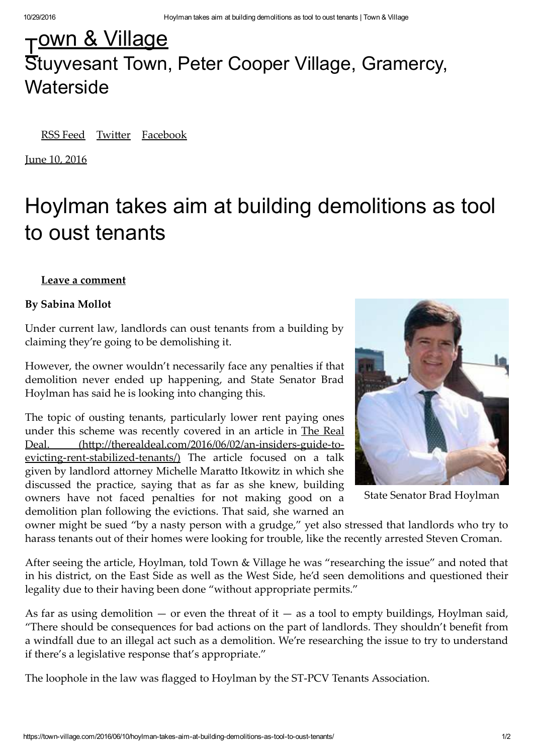## $\frac{1}{2}$ <u>own & Village</u> Stuyvesant Town, Peter Cooper Village, Gramercy, **Waterside**

RSS Feed Twitter Facebook

June 10, 2016

# Hoylman takes aim at building demolitions as tool to oust tenants

### **Leave a comment**

### **By Sabina Mollot**

Under current law, landlords can oust tenants from a building by claiming they're going to be demolishing it.

However, the owner wouldn't necessarily face any penalties if that demolition never ended up happening, and State Senator Brad Hoylman has said he is looking into changing this.

The topic of ousting tenants, particularly lower rent paying ones under this scheme was recently covered in an article in The Real Deal. (http://therealdeal.com/2016/06/02/an-insiders-guide-toevicting-rent-stabilized-tenants/) The article focused on a talk given by landlord attorney Michelle Maratto Itkowitz in which she discussed the practice, saying that as far as she knew, building owners have not faced penalties for not making good on a demolition plan following the evictions. That said, she warned an



State Senator Brad Hoylman

owner might be sued "by a nasty person with a grudge," yet also stressed that landlords who try to harass tenants out of their homes were looking for trouble, like the recently arrested Steven Croman.

After seeing the article, Hoylman, told Town & Village he was "researching the issue" and noted that in his district, on the East Side as well as the West Side, he'd seen demolitions and questioned their legality due to their having been done "without appropriate permits."

As far as using demolition  $-$  or even the threat of it  $-$  as a tool to empty buildings, Hoylman said, "There should be consequences for bad actions on the part of landlords. They shouldn't benefit from a windfall due to an illegal act such as a demolition. We're researching the issue to try to understand if there's a legislative response that's appropriate."

The loophole in the law was flagged to Hoylman by the ST-PCV Tenants Association.